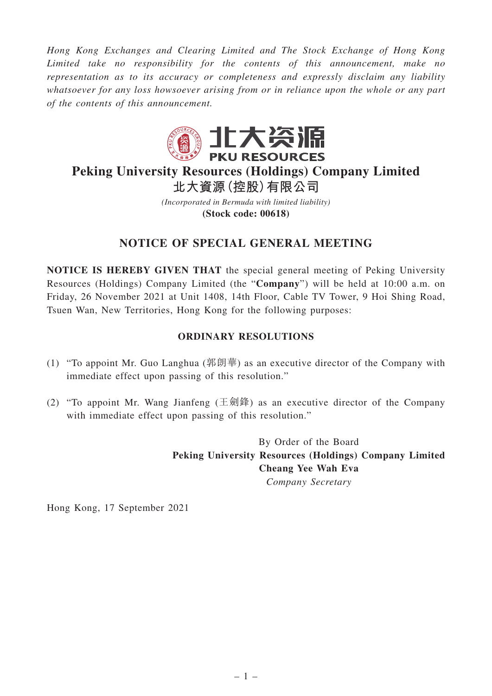*Hong Kong Exchanges and Clearing Limited and The Stock Exchange of Hong Kong Limited take no responsibility for the contents of this announcement, make no representation as to its accuracy or completeness and expressly disclaim any liability whatsoever for any loss howsoever arising from or in reliance upon the whole or any part of the contents of this announcement.*



## **Peking University Resources (Holdings) Company Limited 北大資源(控股)有限公司**

*(Incorporated in Bermuda with limited liability)* **(Stock code: 00618)**

## **NOTICE OF SPECIAL GENERAL MEETING**

**NOTICE IS HEREBY GIVEN THAT** the special general meeting of Peking University Resources (Holdings) Company Limited (the "**Company**") will be held at 10:00 a.m. on Friday, 26 November 2021 at Unit 1408, 14th Floor, Cable TV Tower, 9 Hoi Shing Road, Tsuen Wan, New Territories, Hong Kong for the following purposes:

## **ORDINARY RESOLUTIONS**

- (1) "To appoint Mr. Guo Langhua (郭朗華) as an executive director of the Company with immediate effect upon passing of this resolution."
- (2) "To appoint Mr. Wang Jianfeng (王劍鋒) as an executive director of the Company with immediate effect upon passing of this resolution."

By Order of the Board **Peking University Resources (Holdings) Company Limited Cheang Yee Wah Eva** *Company Secretary*

Hong Kong, 17 September 2021